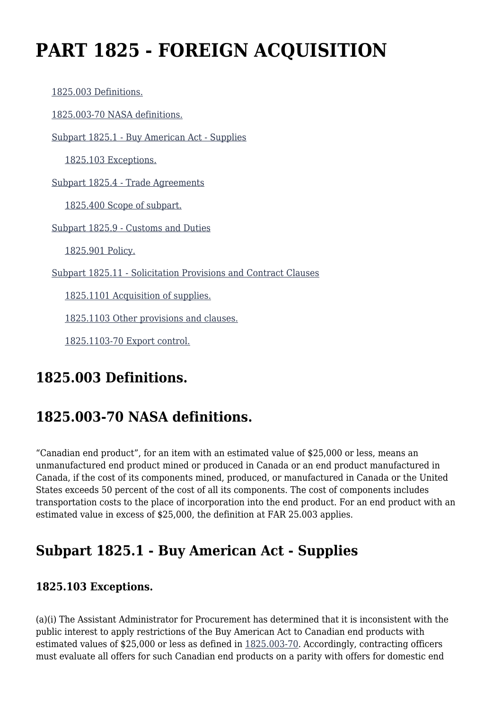# **PART 1825 - FOREIGN ACQUISITION**

 [1825.003 Definitions.](https://login.acquisition.gov/%5Brp:link:nfs-part-1825%5D#Section_1825_003_T48_6041921011) [1825.003-70 NASA definitions.](https://login.acquisition.gov/%5Brp:link:nfs-part-1825%5D#Section_1825_003_70_T48_6041921012) [Subpart 1825.1 - Buy American Act - Supplies](https://login.acquisition.gov/%5Brp:link:nfs-part-1825%5D#Subpart_1825_1_T48_60419211) [1825.103 Exceptions.](https://login.acquisition.gov/%5Brp:link:nfs-part-1825%5D#Section_1825_103_T48_6041921111) [Subpart 1825.4 - Trade Agreements](https://login.acquisition.gov/%5Brp:link:nfs-part-1825%5D#Subpart_1825_4_T48_60419212) [1825.400 Scope of subpart.](https://login.acquisition.gov/%5Brp:link:nfs-part-1825%5D#Section_1825_400_T48_6041921211) [Subpart 1825.9 - Customs and Duties](https://login.acquisition.gov/%5Brp:link:nfs-part-1825%5D#Subpart_1825_9_T48_60419213) [1825.901 Policy.](https://login.acquisition.gov/%5Brp:link:nfs-part-1825%5D#Section_1825_901_T48_6041921311) [Subpart 1825.11 - Solicitation Provisions and Contract Clauses](https://login.acquisition.gov/%5Brp:link:nfs-part-1825%5D#Subpart_1825_11_T48_60419214) [1825.1101 Acquisition of supplies.](https://login.acquisition.gov/%5Brp:link:nfs-part-1825%5D#Section_1825_1101_T48_6041921411) [1825.1103 Other provisions and clauses.](https://login.acquisition.gov/%5Brp:link:nfs-part-1825%5D#Section_1825_1103_T48_6041921412) [1825.1103-70 Export control.](https://login.acquisition.gov/%5Brp:link:nfs-part-1825%5D#Section_1825_1103_70_T48_6041921413)

# **1825.003 Definitions.**

# **1825.003-70 NASA definitions.**

"Canadian end product", for an item with an estimated value of \$25,000 or less, means an unmanufactured end product mined or produced in Canada or an end product manufactured in Canada, if the cost of its components mined, produced, or manufactured in Canada or the United States exceeds 50 percent of the cost of all its components. The cost of components includes transportation costs to the place of incorporation into the end product. For an end product with an estimated value in excess of \$25,000, the definition at FAR 25.003 applies.

## **Subpart 1825.1 - Buy American Act - Supplies**

### **1825.103 Exceptions.**

(a)(i) The Assistant Administrator for Procurement has determined that it is inconsistent with the public interest to apply restrictions of the Buy American Act to Canadian end products with estimated values of \$25,000 or less as defined in [1825.003-70.](https://login.acquisition.gov/%5Brp:link:nfs-part-1825%5D#Section_1825_003_70_T48_6041921012) Accordingly, contracting officers must evaluate all offers for such Canadian end products on a parity with offers for domestic end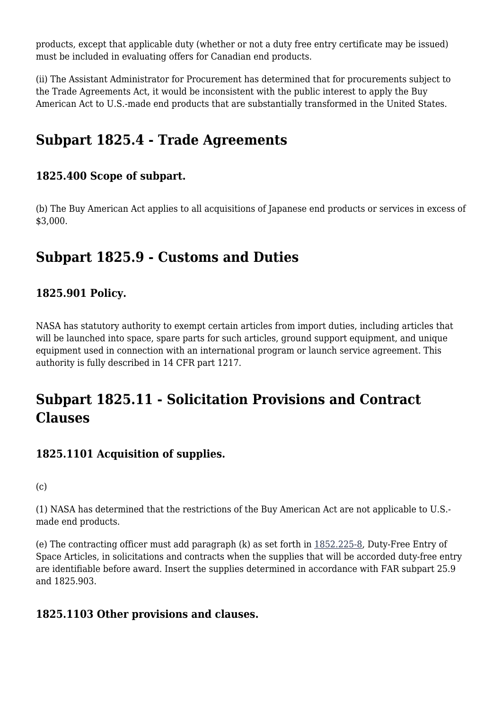products, except that applicable duty (whether or not a duty free entry certificate may be issued) must be included in evaluating offers for Canadian end products.

(ii) The Assistant Administrator for Procurement has determined that for procurements subject to the Trade Agreements Act, it would be inconsistent with the public interest to apply the Buy American Act to U.S.-made end products that are substantially transformed in the United States.

### **Subpart 1825.4 - Trade Agreements**

### **1825.400 Scope of subpart.**

(b) The Buy American Act applies to all acquisitions of Japanese end products or services in excess of \$3,000.

### **Subpart 1825.9 - Customs and Duties**

### **1825.901 Policy.**

NASA has statutory authority to exempt certain articles from import duties, including articles that will be launched into space, spare parts for such articles, ground support equipment, and unique equipment used in connection with an international program or launch service agreement. This authority is fully described in 14 CFR part 1217.

# **Subpart 1825.11 - Solicitation Provisions and Contract Clauses**

### **1825.1101 Acquisition of supplies.**

 $(c)$ 

(1) NASA has determined that the restrictions of the Buy American Act are not applicable to U.S. made end products.

(e) The contracting officer must add paragraph (k) as set forth in [1852.225-8,](https://login.acquisition.gov/%5Brp:link:nfs-part-1852%5D#Section_1852_225_8_T48_60423441161) Duty-Free Entry of Space Articles, in solicitations and contracts when the supplies that will be accorded duty-free entry are identifiable before award. Insert the supplies determined in accordance with FAR subpart 25.9 and 1825.903.

### **1825.1103 Other provisions and clauses.**